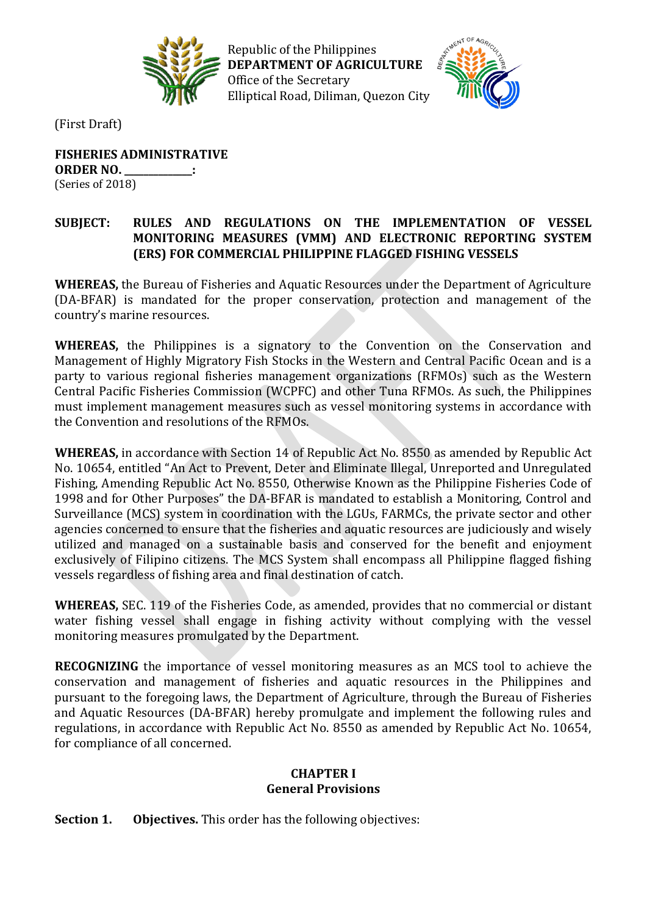

Republic of the Philippines **DEPARTMENT OF AGRICULTURE** Office of the Secretary Elliptical Road, Diliman, Quezon City



(First Draft)

**FISHERIES ADMINISTRATIVE ORDER NO. \_\_\_\_\_\_\_\_\_\_\_\_\_\_:** (Series of 2018)

## **SUBJECT: RULES AND REGULATIONS ON THE IMPLEMENTATION OF VESSEL MONITORING MEASURES (VMM) AND ELECTRONIC REPORTING SYSTEM (ERS) FOR COMMERCIAL PHILIPPINE FLAGGED FISHING VESSELS**

**WHEREAS,** the Bureau of Fisheries and Aquatic Resources under the Department of Agriculture (DA-BFAR) is mandated for the proper conservation, protection and management of the country's marine resources.

**WHEREAS,** the Philippines is a signatory to the Convention on the Conservation and Management of Highly Migratory Fish Stocks in the Western and Central Pacific Ocean and is a party to various regional fisheries management organizations (RFMOs) such as the Western Central Pacific Fisheries Commission (WCPFC) and other Tuna RFMOs. As such, the Philippines must implement management measures such as vessel monitoring systems in accordance with the Convention and resolutions of the RFMOs.

**WHEREAS,** in accordance with Section 14 of Republic Act No. 8550 as amended by Republic Act No. 10654, entitled "An Act to Prevent, Deter and Eliminate Illegal, Unreported and Unregulated Fishing, Amending Republic Act No. 8550, Otherwise Known as the Philippine Fisheries Code of 1998 and for Other Purposes" the DA-BFAR is mandated to establish a Monitoring, Control and Surveillance (MCS) system in coordination with the LGUs, FARMCs, the private sector and other agencies concerned to ensure that the fisheries and aquatic resources are judiciously and wisely utilized and managed on a sustainable basis and conserved for the benefit and enjoyment exclusively of Filipino citizens. The MCS System shall encompass all Philippine flagged fishing vessels regardless of fishing area and final destination of catch.

**WHEREAS,** SEC. 119 of the Fisheries Code, as amended, provides that no commercial or distant water fishing vessel shall engage in fishing activity without complying with the vessel monitoring measures promulgated by the Department.

**RECOGNIZING** the importance of vessel monitoring measures as an MCS tool to achieve the conservation and management of fisheries and aquatic resources in the Philippines and pursuant to the foregoing laws, the Department of Agriculture, through the Bureau of Fisheries and Aquatic Resources (DA-BFAR) hereby promulgate and implement the following rules and regulations, in accordance with Republic Act No. 8550 as amended by Republic Act No. 10654, for compliance of all concerned.

## **CHAPTER I General Provisions**

**Section 1. Objectives.** This order has the following objectives: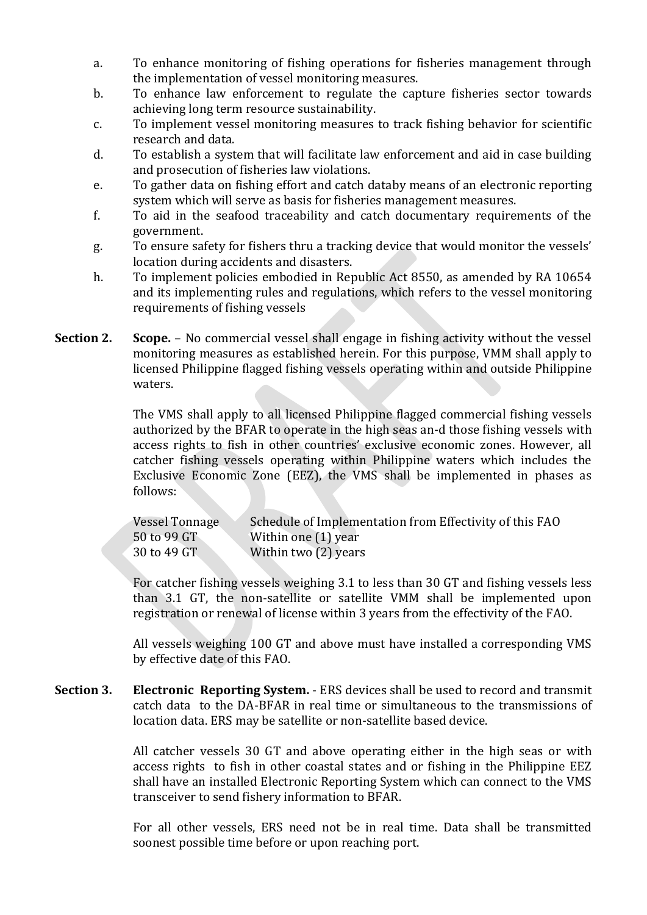- a. To enhance monitoring of fishing operations for fisheries management through the implementation of vessel monitoring measures.
- b. To enhance law enforcement to regulate the capture fisheries sector towards achieving long term resource sustainability.
- c. To implement vessel monitoring measures to track fishing behavior for scientific research and data.
- d. To establish a system that will facilitate law enforcement and aid in case building and prosecution of fisheries law violations.
- e. To gather data on fishing effort and catch databy means of an electronic reporting system which will serve as basis for fisheries management measures.
- f. To aid in the seafood traceability and catch documentary requirements of the government.
- g. To ensure safety for fishers thru a tracking device that would monitor the vessels' location during accidents and disasters.
- h. To implement policies embodied in Republic Act 8550, as amended by RA 10654 and its implementing rules and regulations, which refers to the vessel monitoring requirements of fishing vessels
- **Section 2. Scope.** No commercial vessel shall engage in fishing activity without the vessel monitoring measures as established herein. For this purpose, VMM shall apply to licensed Philippine flagged fishing vessels operating within and outside Philippine waters.

The VMS shall apply to all licensed Philippine flagged commercial fishing vessels authorized by the BFAR to operate in the high seas an-d those fishing vessels with access rights to fish in other countries' exclusive economic zones. However, all catcher fishing vessels operating within Philippine waters which includes the Exclusive Economic Zone (EEZ), the VMS shall be implemented in phases as follows:

| Vessel Tonnage | Schedule of Implementation from Effectivity of this FAO |
|----------------|---------------------------------------------------------|
| 50 to 99 GT    | Within one (1) year                                     |
| 30 to 49 GT    | Within two (2) years                                    |

For catcher fishing vessels weighing 3.1 to less than 30 GT and fishing vessels less than 3.1 GT, the non-satellite or satellite VMM shall be implemented upon registration or renewal of license within 3 years from the effectivity of the FAO.

All vessels weighing 100 GT and above must have installed a corresponding VMS by effective date of this FAO.

**Section 3. Electronic Reporting System.** - ERS devices shall be used to record and transmit catch data to the DA-BFAR in real time or simultaneous to the transmissions of location data. ERS may be satellite or non-satellite based device.

> All catcher vessels 30 GT and above operating either in the high seas or with access rights to fish in other coastal states and or fishing in the Philippine EEZ shall have an installed Electronic Reporting System which can connect to the VMS transceiver to send fishery information to BFAR.

> For all other vessels, ERS need not be in real time. Data shall be transmitted soonest possible time before or upon reaching port.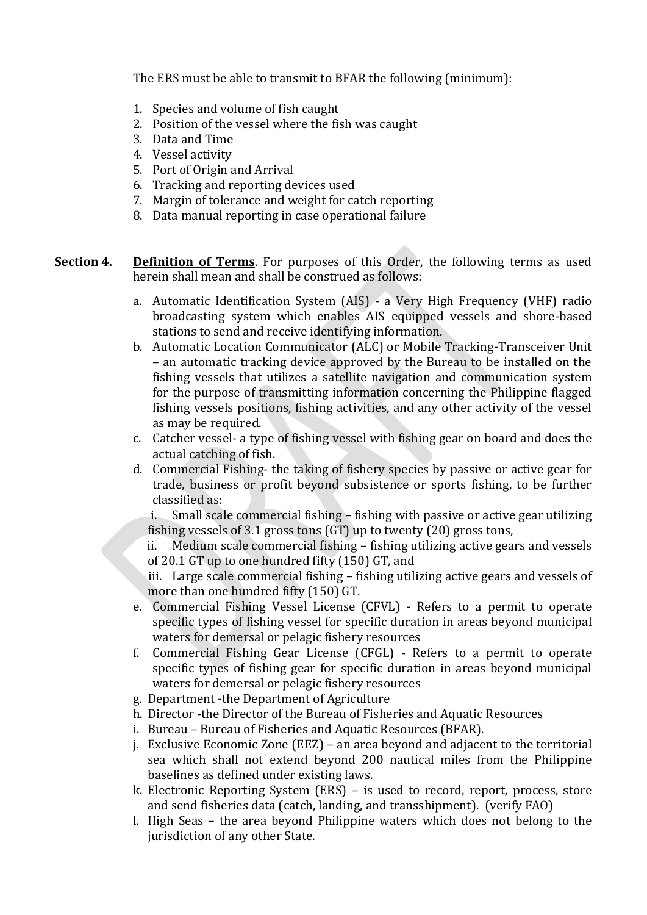The ERS must be able to transmit to BFAR the following (minimum):

- 1. Species and volume of fish caught
- 2. Position of the vessel where the fish was caught
- 3. Data and Time
- 4. Vessel activity
- 5. Port of Origin and Arrival
- 6. Tracking and reporting devices used
- 7. Margin of tolerance and weight for catch reporting
- 8. Data manual reporting in case operational failure
- **Section 4. Definition of Terms**. For purposes of this Order, the following terms as used herein shall mean and shall be construed as follows:
	- a. Automatic Identification System (AIS) a Very High Frequency (VHF) radio broadcasting system which enables AIS equipped vessels and shore-based stations to send and receive identifying information.
	- b. Automatic Location Communicator (ALC) or Mobile Tracking-Transceiver Unit – an automatic tracking device approved by the Bureau to be installed on the fishing vessels that utilizes a satellite navigation and communication system for the purpose of transmitting information concerning the Philippine flagged fishing vessels positions, fishing activities, and any other activity of the vessel as may be required.
	- c. Catcher vessel- a type of fishing vessel with fishing gear on board and does the actual catching of fish.
	- d. Commercial Fishing- the taking of fishery species by passive or active gear for trade, business or profit beyond subsistence or sports fishing, to be further classified as:

i. Small scale commercial fishing – fishing with passive or active gear utilizing fishing vessels of 3.1 gross tons (GT) up to twenty (20) gross tons,

ii. Medium scale commercial fishing – fishing utilizing active gears and vessels of 20.1 GT up to one hundred fifty (150) GT, and

iii. Large scale commercial fishing – fishing utilizing active gears and vessels of more than one hundred fifty (150) GT.

- e. Commercial Fishing Vessel License (CFVL) Refers to a permit to operate specific types of fishing vessel for specific duration in areas beyond municipal waters for demersal or pelagic fishery resources
- f. Commercial Fishing Gear License (CFGL) Refers to a permit to operate specific types of fishing gear for specific duration in areas beyond municipal waters for demersal or pelagic fishery resources
- g. Department -the Department of Agriculture
- h. Director -the Director of the Bureau of Fisheries and Aquatic Resources
- i. Bureau Bureau of Fisheries and Aquatic Resources (BFAR).
- j. Exclusive Economic Zone (EEZ) an area beyond and adjacent to the territorial sea which shall not extend beyond 200 nautical miles from the Philippine baselines as defined under existing laws.
- k. Electronic Reporting System (ERS) is used to record, report, process, store and send fisheries data (catch, landing, and transshipment). (verify FAO)
- l. High Seas the area beyond Philippine waters which does not belong to the jurisdiction of any other State.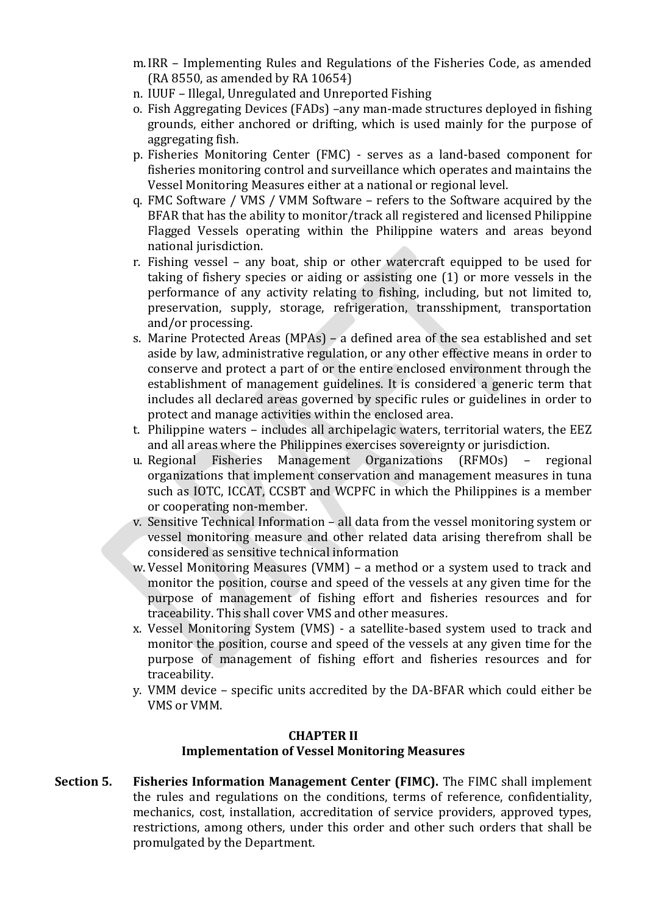- m.IRR Implementing Rules and Regulations of the Fisheries Code, as amended (RA 8550, as amended by RA 10654)
- n. IUUF Illegal, Unregulated and Unreported Fishing
- o. Fish Aggregating Devices (FADs) –any man-made structures deployed in fishing grounds, either anchored or drifting, which is used mainly for the purpose of aggregating fish.
- p. Fisheries Monitoring Center (FMC) serves as a land-based component for fisheries monitoring control and surveillance which operates and maintains the Vessel Monitoring Measures either at a national or regional level.
- q. FMC Software / VMS / VMM Software refers to the Software acquired by the BFAR that has the ability to monitor/track all registered and licensed Philippine Flagged Vessels operating within the Philippine waters and areas beyond national jurisdiction.
- r. Fishing vessel any boat, ship or other watercraft equipped to be used for taking of fishery species or aiding or assisting one (1) or more vessels in the performance of any activity relating to fishing, including, but not limited to, preservation, supply, storage, refrigeration, transshipment, transportation and/or processing.
- s. Marine Protected Areas (MPAs) a defined area of the sea established and set aside by law, administrative regulation, or any other effective means in order to conserve and protect a part of or the entire enclosed environment through the establishment of management guidelines. It is considered a generic term that includes all declared areas governed by specific rules or guidelines in order to protect and manage activities within the enclosed area.
- t. Philippine waters includes all archipelagic waters, territorial waters, the EEZ and all areas where the Philippines exercises sovereignty or jurisdiction.
- u. Regional Fisheries Management Organizations (RFMOs) regional organizations that implement conservation and management measures in tuna such as IOTC, ICCAT, CCSBT and WCPFC in which the Philippines is a member or cooperating non-member.
- v. Sensitive Technical Information all data from the vessel monitoring system or vessel monitoring measure and other related data arising therefrom shall be considered as sensitive technical information
- w. Vessel Monitoring Measures (VMM) a method or a system used to track and monitor the position, course and speed of the vessels at any given time for the purpose of management of fishing effort and fisheries resources and for traceability. This shall cover VMS and other measures.
- x. Vessel Monitoring System (VMS) a satellite-based system used to track and monitor the position, course and speed of the vessels at any given time for the purpose of management of fishing effort and fisheries resources and for traceability.
- y. VMM device specific units accredited by the DA-BFAR which could either be VMS or VMM.

# **CHAPTER II**

# **Implementation of Vessel Monitoring Measures**

**Section 5. Fisheries Information Management Center (FIMC).** The FIMC shall implement the rules and regulations on the conditions, terms of reference, confidentiality, mechanics, cost, installation, accreditation of service providers, approved types, restrictions, among others, under this order and other such orders that shall be promulgated by the Department.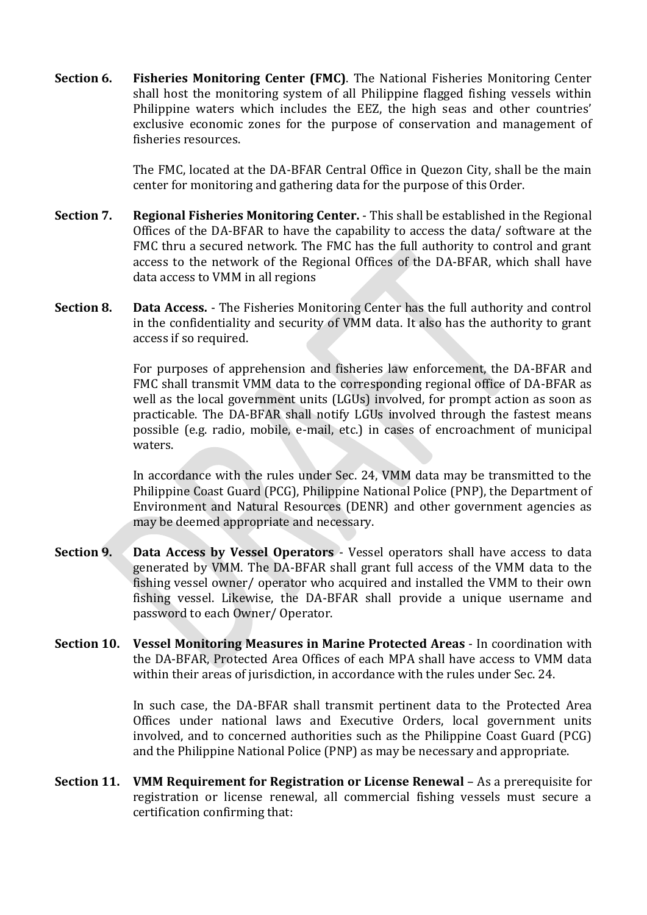**Section 6. Fisheries Monitoring Center (FMC)**. The National Fisheries Monitoring Center shall host the monitoring system of all Philippine flagged fishing vessels within Philippine waters which includes the EEZ, the high seas and other countries' exclusive economic zones for the purpose of conservation and management of fisheries resources.

> The FMC, located at the DA-BFAR Central Office in Quezon City, shall be the main center for monitoring and gathering data for the purpose of this Order.

- **Section 7. Regional Fisheries Monitoring Center.** This shall be established in the Regional Offices of the DA-BFAR to have the capability to access the data/ software at the FMC thru a secured network. The FMC has the full authority to control and grant access to the network of the Regional Offices of the DA-BFAR, which shall have data access to VMM in all regions
- **Section 8. Data Access.** The Fisheries Monitoring Center has the full authority and control in the confidentiality and security of VMM data. It also has the authority to grant access if so required.

For purposes of apprehension and fisheries law enforcement, the DA-BFAR and FMC shall transmit VMM data to the corresponding regional office of DA-BFAR as well as the local government units (LGUs) involved, for prompt action as soon as practicable. The DA-BFAR shall notify LGUs involved through the fastest means possible (e.g. radio, mobile, e-mail, etc.) in cases of encroachment of municipal waters.

In accordance with the rules under Sec. 24, VMM data may be transmitted to the Philippine Coast Guard (PCG), Philippine National Police (PNP), the Department of Environment and Natural Resources (DENR) and other government agencies as may be deemed appropriate and necessary.

- **Section 9. Data Access by Vessel Operators** Vessel operators shall have access to data generated by VMM. The DA-BFAR shall grant full access of the VMM data to the fishing vessel owner/ operator who acquired and installed the VMM to their own fishing vessel. Likewise, the DA-BFAR shall provide a unique username and password to each Owner/ Operator.
- **Section 10. Vessel Monitoring Measures in Marine Protected Areas** In coordination with the DA-BFAR, Protected Area Offices of each MPA shall have access to VMM data within their areas of jurisdiction, in accordance with the rules under Sec. 24.

In such case, the DA-BFAR shall transmit pertinent data to the Protected Area Offices under national laws and Executive Orders, local government units involved, and to concerned authorities such as the Philippine Coast Guard (PCG) and the Philippine National Police (PNP) as may be necessary and appropriate.

**Section 11. VMM Requirement for Registration or License Renewal** – As a prerequisite for registration or license renewal, all commercial fishing vessels must secure a certification confirming that: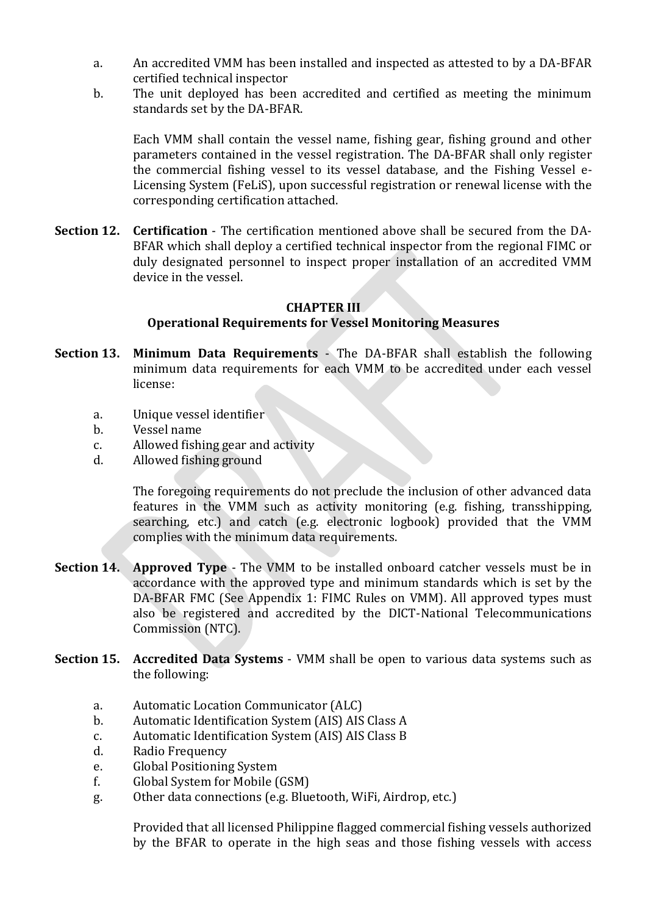- a. An accredited VMM has been installed and inspected as attested to by a DA-BFAR certified technical inspector
- b. The unit deployed has been accredited and certified as meeting the minimum standards set by the DA-BFAR.

Each VMM shall contain the vessel name, fishing gear, fishing ground and other parameters contained in the vessel registration. The DA-BFAR shall only register the commercial fishing vessel to its vessel database, and the Fishing Vessel e-Licensing System (FeLiS), upon successful registration or renewal license with the corresponding certification attached.

**Section 12. Certification** - The certification mentioned above shall be secured from the DA-BFAR which shall deploy a certified technical inspector from the regional FIMC or duly designated personnel to inspect proper installation of an accredited VMM device in the vessel.

## **CHAPTER III**

## **Operational Requirements for Vessel Monitoring Measures**

- **Section 13. Minimum Data Requirements** The DA-BFAR shall establish the following minimum data requirements for each VMM to be accredited under each vessel license:
	- a. Unique vessel identifier
	- b. Vessel name
	- c. Allowed fishing gear and activity
	- d. Allowed fishing ground

The foregoing requirements do not preclude the inclusion of other advanced data features in the VMM such as activity monitoring (e.g. fishing, transshipping, searching, etc.) and catch (e.g. electronic logbook) provided that the VMM complies with the minimum data requirements.

- **Section 14. Approved Type** The VMM to be installed onboard catcher vessels must be in accordance with the approved type and minimum standards which is set by the DA-BFAR FMC (See Appendix 1: FIMC Rules on VMM). All approved types must also be registered and accredited by the DICT-National Telecommunications Commission (NTC).
- **Section 15. Accredited Data Systems** VMM shall be open to various data systems such as the following:
	- a. Automatic Location Communicator (ALC)
	- b. Automatic Identification System (AIS) AIS Class A
	- c. Automatic Identification System (AIS) AIS Class B
	- d. Radio Frequency
	- e. Global Positioning System
	- f. Global System for Mobile (GSM)
	- g. Other data connections (e.g. Bluetooth, WiFi, Airdrop, etc.)

Provided that all licensed Philippine flagged commercial fishing vessels authorized by the BFAR to operate in the high seas and those fishing vessels with access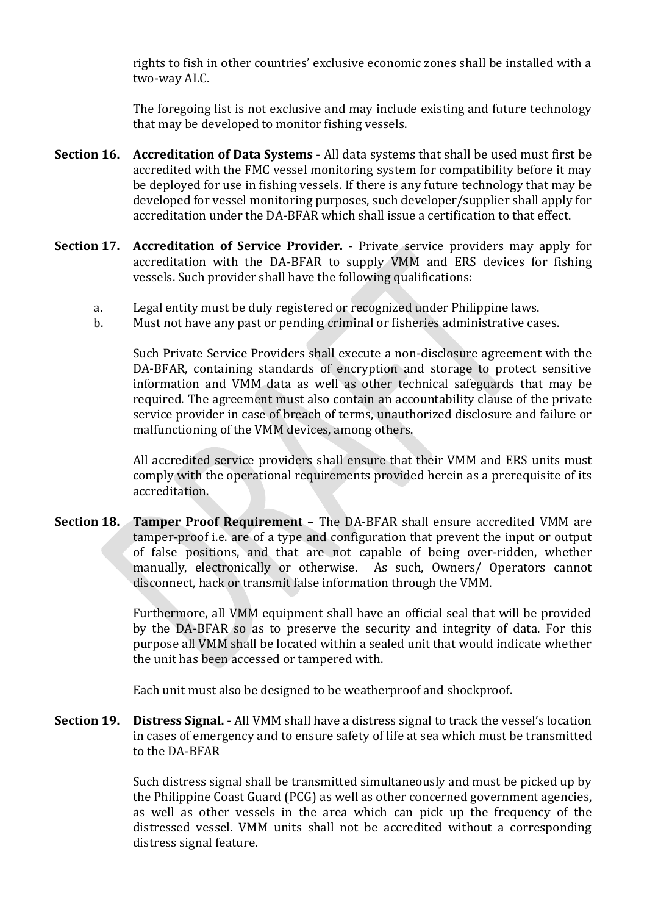rights to fish in other countries' exclusive economic zones shall be installed with a two-way ALC.

The foregoing list is not exclusive and may include existing and future technology that may be developed to monitor fishing vessels.

- **Section 16. Accreditation of Data Systems** All data systems that shall be used must first be accredited with the FMC vessel monitoring system for compatibility before it may be deployed for use in fishing vessels. If there is any future technology that may be developed for vessel monitoring purposes, such developer/supplier shall apply for accreditation under the DA-BFAR which shall issue a certification to that effect.
- **Section 17. Accreditation of Service Provider.** Private service providers may apply for accreditation with the DA-BFAR to supply VMM and ERS devices for fishing vessels. Such provider shall have the following qualifications:
	- a. Legal entity must be duly registered or recognized under Philippine laws.
	- b. Must not have any past or pending criminal or fisheries administrative cases.

Such Private Service Providers shall execute a non-disclosure agreement with the DA-BFAR, containing standards of encryption and storage to protect sensitive information and VMM data as well as other technical safeguards that may be required. The agreement must also contain an accountability clause of the private service provider in case of breach of terms, unauthorized disclosure and failure or malfunctioning of the VMM devices, among others.

All accredited service providers shall ensure that their VMM and ERS units must comply with the operational requirements provided herein as a prerequisite of its accreditation.

**Section 18. Tamper Proof Requirement** – The DA-BFAR shall ensure accredited VMM are tamper-proof i.e. are of a type and configuration that prevent the input or output of false positions, and that are not capable of being over-ridden, whether manually, electronically or otherwise. As such, Owners/ Operators cannot disconnect, hack or transmit false information through the VMM.

> Furthermore, all VMM equipment shall have an official seal that will be provided by the DA-BFAR so as to preserve the security and integrity of data. For this purpose all VMM shall be located within a sealed unit that would indicate whether the unit has been accessed or tampered with.

Each unit must also be designed to be weatherproof and shockproof.

**Section 19. Distress Signal.** - All VMM shall have a distress signal to track the vessel's location in cases of emergency and to ensure safety of life at sea which must be transmitted to the DA-BFAR

> Such distress signal shall be transmitted simultaneously and must be picked up by the Philippine Coast Guard (PCG) as well as other concerned government agencies, as well as other vessels in the area which can pick up the frequency of the distressed vessel. VMM units shall not be accredited without a corresponding distress signal feature.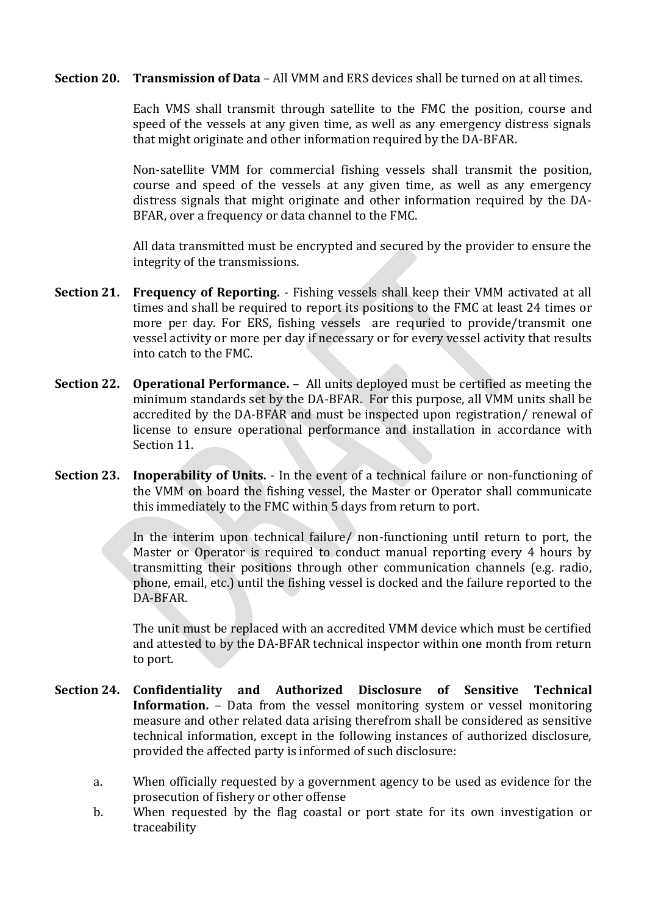**Section 20. Transmission of Data** – All VMM and ERS devices shall be turned on at all times.

Each VMS shall transmit through satellite to the FMC the position, course and speed of the vessels at any given time, as well as any emergency distress signals that might originate and other information required by the DA-BFAR.

Non-satellite VMM for commercial fishing vessels shall transmit the position, course and speed of the vessels at any given time, as well as any emergency distress signals that might originate and other information required by the DA-BFAR, over a frequency or data channel to the FMC.

All data transmitted must be encrypted and secured by the provider to ensure the integrity of the transmissions.

- **Section 21. Frequency of Reporting.** Fishing vessels shall keep their VMM activated at all times and shall be required to report its positions to the FMC at least 24 times or more per day. For ERS, fishing vessels are requried to provide/transmit one vessel activity or more per day if necessary or for every vessel activity that results into catch to the FMC.
- **Section 22. Operational Performance.** All units deployed must be certified as meeting the minimum standards set by the DA-BFAR. For this purpose, all VMM units shall be accredited by the DA-BFAR and must be inspected upon registration/ renewal of license to ensure operational performance and installation in accordance with Section 11.
- **Section 23. Inoperability of Units.** In the event of a technical failure or non-functioning of the VMM on board the fishing vessel, the Master or Operator shall communicate this immediately to the FMC within 5 days from return to port.

In the interim upon technical failure/ non-functioning until return to port, the Master or Operator is required to conduct manual reporting every 4 hours by transmitting their positions through other communication channels (e.g. radio, phone, email, etc.) until the fishing vessel is docked and the failure reported to the DA-BFAR.

The unit must be replaced with an accredited VMM device which must be certified and attested to by the DA-BFAR technical inspector within one month from return to port.

- **Section 24. Confidentiality and Authorized Disclosure of Sensitive Technical Information.** – Data from the vessel monitoring system or vessel monitoring measure and other related data arising therefrom shall be considered as sensitive technical information, except in the following instances of authorized disclosure, provided the affected party is informed of such disclosure:
	- a. When officially requested by a government agency to be used as evidence for the prosecution of fishery or other offense
	- b. When requested by the flag coastal or port state for its own investigation or traceability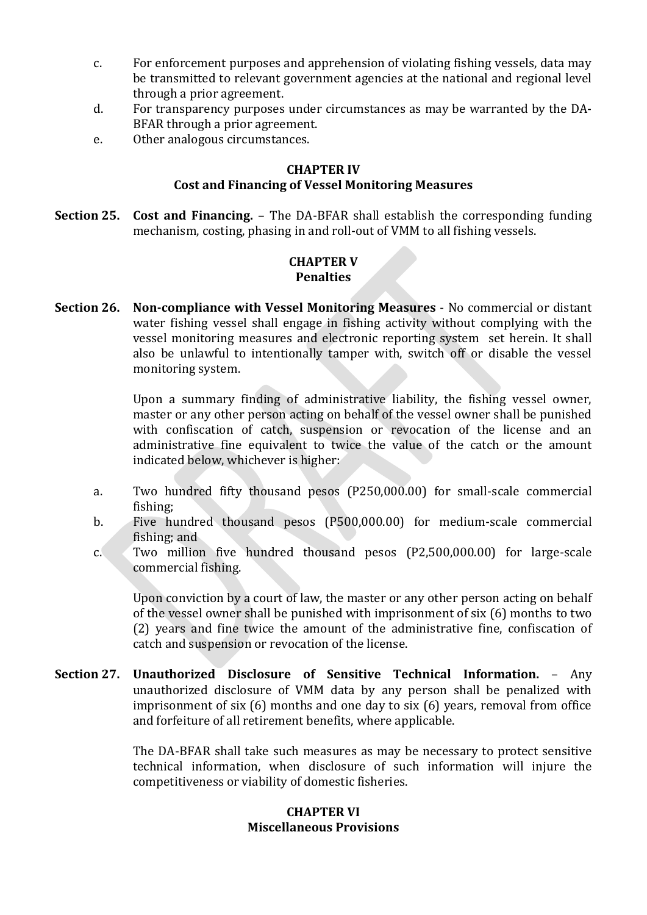- c. For enforcement purposes and apprehension of violating fishing vessels, data may be transmitted to relevant government agencies at the national and regional level through a prior agreement.
- d. For transparency purposes under circumstances as may be warranted by the DA-BFAR through a prior agreement.
- e. Other analogous circumstances.

#### **CHAPTER IV Cost and Financing of Vessel Monitoring Measures**

**Section 25. Cost and Financing.** – The DA-BFAR shall establish the corresponding funding mechanism, costing, phasing in and roll-out of VMM to all fishing vessels.

#### **CHAPTER V Penalties**

**Section 26. Non-compliance with Vessel Monitoring Measures** - No commercial or distant water fishing vessel shall engage in fishing activity without complying with the vessel monitoring measures and electronic reporting system set herein. It shall also be unlawful to intentionally tamper with, switch off or disable the vessel monitoring system.

> Upon a summary finding of administrative liability, the fishing vessel owner, master or any other person acting on behalf of the vessel owner shall be punished with confiscation of catch, suspension or revocation of the license and an administrative fine equivalent to twice the value of the catch or the amount indicated below, whichever is higher:

- a. Two hundred fifty thousand pesos (P250,000.00) for small-scale commercial fishing;
- b. Five hundred thousand pesos (P500,000.00) for medium-scale commercial fishing; and
- c. Two million five hundred thousand pesos (P2,500,000.00) for large-scale commercial fishing.

Upon conviction by a court of law, the master or any other person acting on behalf of the vessel owner shall be punished with imprisonment of six (6) months to two (2) years and fine twice the amount of the administrative fine, confiscation of catch and suspension or revocation of the license.

**Section 27. Unauthorized Disclosure of Sensitive Technical Information.** – Any unauthorized disclosure of VMM data by any person shall be penalized with imprisonment of six (6) months and one day to six (6) years, removal from office and forfeiture of all retirement benefits, where applicable.

> The DA-BFAR shall take such measures as may be necessary to protect sensitive technical information, when disclosure of such information will injure the competitiveness or viability of domestic fisheries.

#### **CHAPTER VI Miscellaneous Provisions**